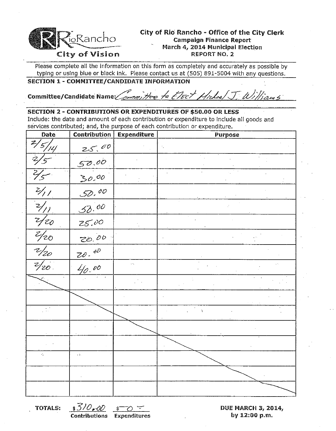

## City of Rio Rancho - Office of the City Clerk  $\frac{1}{10}$ Rancho Cary of No Rancho - Office of the  $\frac{1}{10}$ March 4, 2014 Municipal Election<br>REPORT NO. 2

Please complete all the information on this form as completely and accurately as possible by typing or using blue or black ink. Please contact us at (505) 891-5004 with any questions.

#### SECTION 1 - COMMITTEE/CANDIDATE INfORMATION

# Committee/Candidate Name: orm, Here to Elect Hickel J. Williams

#### SECTION 2 - CONTRIBUTIONS OR EXPENDITURES OF \$50.00 OR LESS

Include: the date and amount of each contribution or expenditure to include all goods and services contributed; and, the purpose of each contribution or expenditure.

| Date                         | Contribution             | <b>Expenditure</b> | Purpose |
|------------------------------|--------------------------|--------------------|---------|
| $\frac{2}{5}$                | 25.00                    |                    |         |
| Ż,<br>--                     | 50.00                    |                    |         |
| $\overline{\mathcal{Y}_{5}}$ | 30.00                    |                    |         |
| $\frac{2}{1}$                | 52,00                    |                    |         |
| $\frac{2}{\sqrt{1}}$         | 32.00                    |                    |         |
| $\frac{1}{20}$               | 25.00                    |                    |         |
| $\overline{z/20}$            | 20.00                    |                    |         |
| $\frac{1}{20}$               | $ZQ \cdot dQ$            |                    |         |
| $\frac{2}{20}$               | 40.00                    | ò.                 |         |
|                              | $\mathbf{r}$             |                    |         |
|                              |                          |                    |         |
|                              |                          |                    | ŕ.      |
|                              |                          |                    |         |
|                              |                          |                    |         |
| K.                           | $\epsilon$ to $\epsilon$ |                    |         |
|                              |                          |                    |         |
|                              |                          |                    |         |
|                              |                          |                    |         |

TOTALS:  $\frac{\sqrt{3}}{2}$ ,  $\frac{\sqrt{2}}{2}$ ,  $\frac{\sqrt{2}}{2}$ ,  $\frac{\sqrt{2}}{2}$ , DUE MARCH 3, 2014, Contributions Expenditures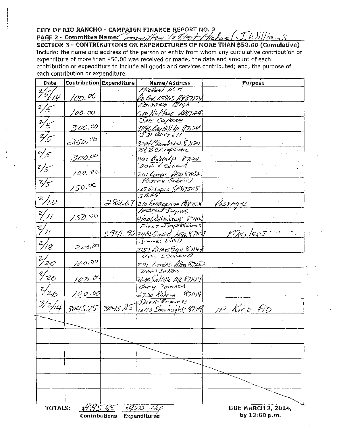CITY OF RIO RANCHO - CAMPAIGN FINANCE REPORT NO. 2<br>PAGE 2 - Committee Names And Here To Het Hiclare (J.William St. 2007) Include: the name and address of the person or entity from whom any cumulative contribution or expenditure of more than \$50.00 was received or made; the date and amount of each contribution or expenditure to include all goods and services contributed; and, the purpose of each contribution or expenditure.

| Date           | <b>Contribution Expenditure</b> |                            | Name/Address                                         | <b>Purpose</b>                             |
|----------------|---------------------------------|----------------------------|------------------------------------------------------|--------------------------------------------|
| ?/z            |                                 |                            | Michael Kitt                                         |                                            |
| $\mathcal{L}$  | <u>100. <sup>00</sup></u>       |                            | <u>4.5. Bex 15963 RR87)74</u>                        |                                            |
| 2/5            |                                 |                            | EDWARD Bligh                                         |                                            |
|                | 00,00                           |                            | 500 Nicklaus 1987124                                 |                                            |
| $\frac{2}{5}$  |                                 |                            | Joe Capone                                           |                                            |
|                | 300,00                          |                            | 3896 Bay Hill 4 87124                                |                                            |
| $\frac{2}{5}$  |                                 |                            | JD Carrell                                           |                                            |
|                | 350.00                          |                            | 3204 <u>Chendial N. 87134</u><br>Tš! T3 Chirefractic |                                            |
| $2/5^{-}$      |                                 |                            |                                                      |                                            |
|                | $300^{\circ}$                   |                            | 1400 Brotocalp 87124                                 |                                            |
| 2/5            |                                 |                            | DON Leonard                                          |                                            |
|                | 100.00                          |                            | 1201 Lomas ABO 87102                                 |                                            |
| $\frac{2}{5}$  |                                 |                            | Patrice Gabriel                                      |                                            |
|                | /50.00                          |                            | 125 W.Lupra 5787505<br>51275                         |                                            |
| 2/10           |                                 |                            |                                                      |                                            |
|                |                                 |                            | 282.67 210 ENTERAISE M87124                          | <u>Postage</u>                             |
| 2/11           |                                 |                            |                                                      |                                            |
|                | 150.00                          |                            | (100(e) Nowbrook 87114                               |                                            |
| $Z'_{\ell}$    |                                 |                            | First-Impressions                                    |                                            |
|                |                                 |                            | $5941.923406$ mord ASD 87107                         | <u>Maslers</u>                             |
| 2/g            | 200.00                          |                            |                                                      |                                            |
|                |                                 |                            | 2151 Riverstoge 87144<br>Don Leonard                 |                                            |
| $\frac{2}{20}$ |                                 |                            |                                                      |                                            |
|                | 100.00                          |                            | 20) Lomas Alba Brock                                 |                                            |
| $\frac{2}{20}$ |                                 |                            |                                                      |                                            |
|                | 100.00                          |                            | <u>2600, Saltillo RR 87144</u>                       |                                            |
| $\frac{2}{26}$ |                                 |                            | Gary TomADA                                          |                                            |
|                | $100 - 00$                      |                            | 6720 RAGON 87144                                     |                                            |
| 3/2/14         |                                 | 3045.85 3045.85            | The# Browne                                          |                                            |
|                |                                 |                            |                                                      | 10110 Snowheights 8109 IN KinD AD          |
|                |                                 |                            |                                                      |                                            |
|                |                                 |                            |                                                      |                                            |
|                |                                 |                            |                                                      |                                            |
|                |                                 |                            |                                                      |                                            |
|                |                                 |                            |                                                      |                                            |
|                |                                 |                            |                                                      |                                            |
|                |                                 |                            |                                                      |                                            |
|                |                                 |                            |                                                      |                                            |
|                |                                 |                            |                                                      |                                            |
|                |                                 |                            |                                                      |                                            |
|                |                                 |                            |                                                      |                                            |
|                |                                 |                            |                                                      |                                            |
| TOTALS:        | \$445 F5                        | Contributions Expenditures | \$300.44                                             | <b>DUE MARCH 3, 2014,</b><br>bv 12:00 p.m. |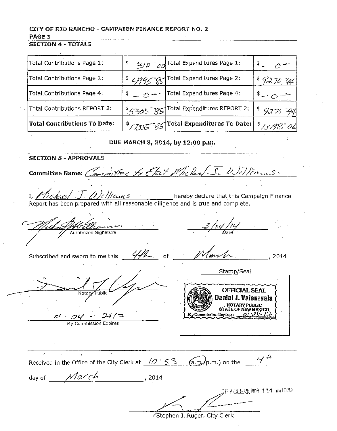### CITY OF RIO RANCHO - CAMPAIGN FINANCE REPORT NO. 2 PAGE<sub>3</sub>

SECTION 4 - TOTALS

| Total Contributions Page 1:         |                                 | $\gg$ $\rho$ $\sim$ $_{\text{cyl}}$ Total Expenditures Page 1: | $1^{\frac{6}{5}} - 6^{\frac{1}{5}}$ |
|-------------------------------------|---------------------------------|----------------------------------------------------------------|-------------------------------------|
| Total Contributions Page 2:         |                                 | \$ < 995 - 85 Total Expenditures Page 2:                       | \$7270.44                           |
| Total Contributions Page 4:         | $\frac{1}{2}$ = 0 $\frac{1}{2}$ | Total Expenditures Page 4:                                     | $=-0$ $-$                           |
| Total Contributions REPORT 2:       |                                 | \$5305 85 Total Expenditures REPORT 2:                         | \$927044                            |
| <b>Total Contributions To Date:</b> |                                 | $\frac{1}{2}$ / 735 - 85 Total Expenditures To Date:           | \$13798.06                          |

DUE MARCH 3, 2014, by 12:00 p.m.

**SECTION 5 - APPROVALS** Committee Name: Committee to Etat Michael S. Williams I, *Michae* J. *Aliliams*<br>Report has been prepared with all reasonable diligence and is true and complete.  $3/104/11/10$ Allaman Morel Subscribed and sworn to me this  $\frac{1}{4}$ of 2014 Stamp/Seal **OFFICIAL SEAL**  $\overline{\overline{\text{ulbic}}}$ Daniel J. Valenzuela  $\frac{O(1 - O(1)) - O(1)}{My \text{ Commission Express}}$ W Commission Expires:  $\sim$ Received in the Office of the City Clerk at  $\frac{10.53}{\sqrt{3}}$  (a.m.) on the  $\frac{4}{\sqrt{4}}$ day of  $\n *Macch*\n$ , 2014 CITY CLERK MAR 4'14 AM10153

Stephen J. Ruger, City Clerk